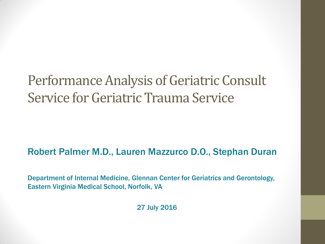#### Performance Analysis of Geriatric Consult Service for Geriatric Trauma Service

#### Robert Palmer M.D., Lauren Mazzurco D.O., Stephan Duran

Department of Internal Medicine, Glennan Center for Geriatrics and Gerontology, Eastern Virginia Medical School, Norfolk, VA

27 July 2016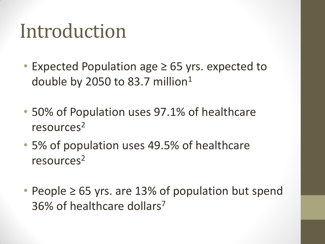# Introduction

- Expected Population age ≥ 65 yrs. expected to double by 2050 to 83.7 million<sup>1</sup>
- 50% of Population uses 97.1% of healthcare resources<sup>2</sup>
- 5% of population uses 49.5% of healthcare resources<sup>2</sup>
- People ≥ 65 yrs. are 13% of population but spend 36% of healthcare dollars7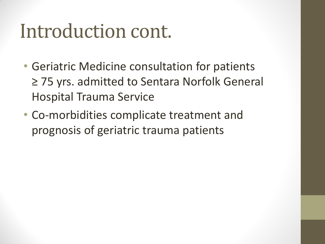# Introduction cont.

- Geriatric Medicine consultation for patients ≥ 75 yrs. admitted to Sentara Norfolk General Hospital Trauma Service
- Co-morbidities complicate treatment and prognosis of geriatric trauma patients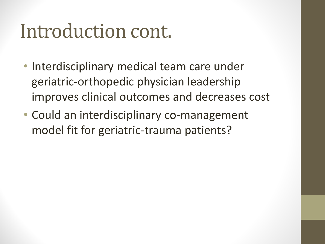# Introduction cont.

- Interdisciplinary medical team care under geriatric-orthopedic physician leadership improves clinical outcomes and decreases cost
- Could an interdisciplinary co-management model fit for geriatric-trauma patients?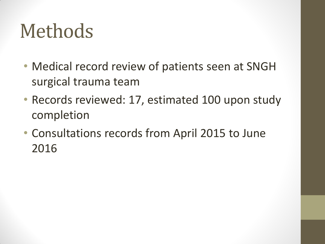# Methods

- Medical record review of patients seen at SNGH surgical trauma team
- Records reviewed: 17, estimated 100 upon study completion
- Consultations records from April 2015 to June 2016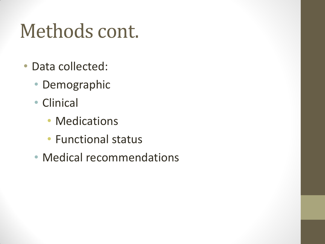# Methods cont.

- Data collected:
	- Demographic
	- Clinical
		- Medications
		- Functional status
	- Medical recommendations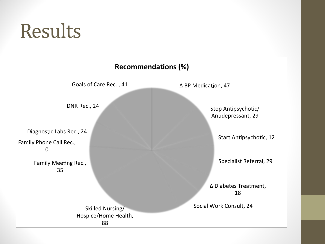# Results

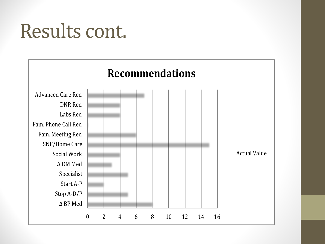# Results cont.

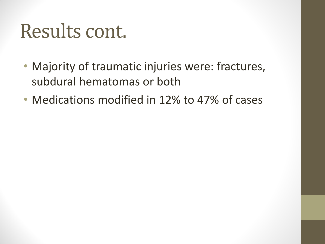# Results cont.

- Majority of traumatic injuries were: fractures, subdural hematomas or both
- Medications modified in 12% to 47% of cases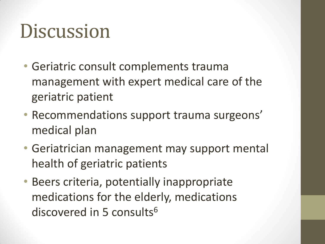# **Discussion**

- Geriatric consult complements trauma management with expert medical care of the geriatric patient
- Recommendations support trauma surgeons' medical plan
- Geriatrician management may support mental health of geriatric patients
- Beers criteria, potentially inappropriate medications for the elderly, medications discovered in 5 consults<sup>6</sup>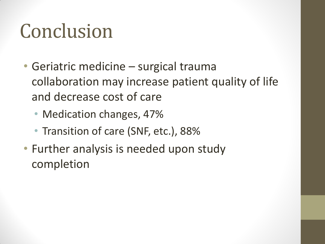# Conclusion

- Geriatric medicine surgical trauma collaboration may increase patient quality of life and decrease cost of care
	- Medication changes, 47%
	- Transition of care (SNF, etc.), 88%
- Further analysis is needed upon study completion